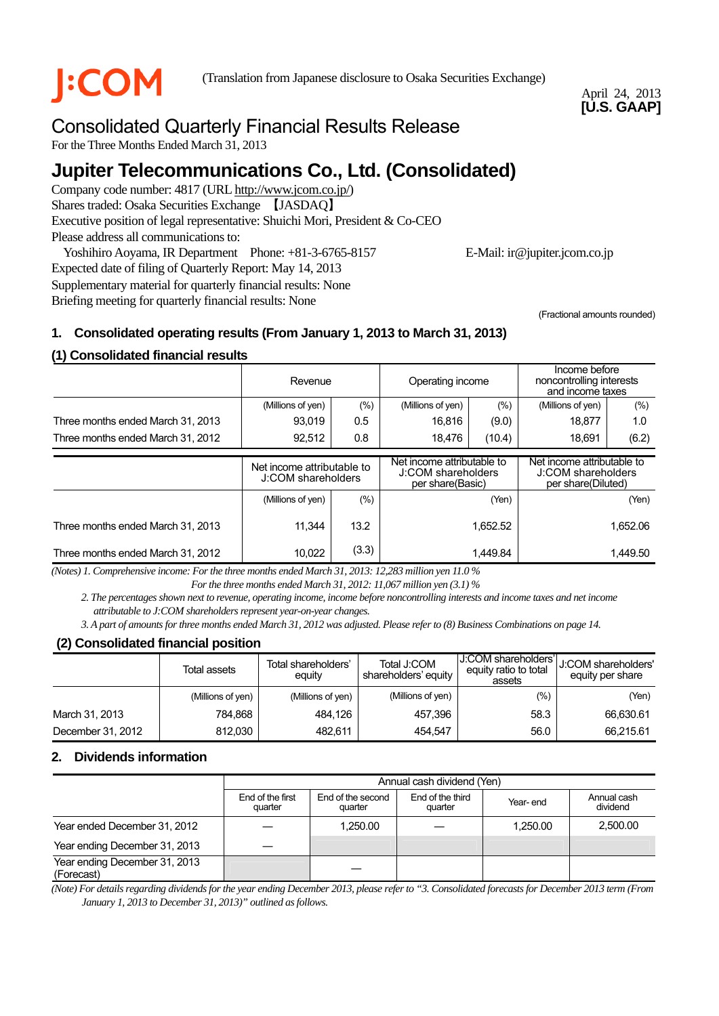

**COM** (Translation from Japanese disclosure to Osaka Securities Exchange)

April 24, 2013 **[U.S. GAAP]** 

# Consolidated Quarterly Financial Results Release

For the Three Months Ended March 31, 2013

# **Jupiter Telecommunications Co., Ltd. (Consolidated)**

Company code number: 4817 (URL http://www.jcom.co.jp/) Shares traded: Osaka Securities Exchange 【JASDAQ】 Executive position of legal representative: Shuichi Mori, President & Co-CEO Please address all communications to:

Yoshihiro Aoyama, IR Department Phone: +81-3-6765-8157 E-Mail: ir@jupiter.jcom.co.jp Expected date of filing of Quarterly Report: May 14, 2013 Supplementary material for quarterly financial results: None

Briefing meeting for quarterly financial results: None

(Fractional amounts rounded)

# **1. Consolidated operating results (From January 1, 2013 to March 31, 2013)**

# **(1) Consolidated financial results**

|                                   | Revenue                                          |         | Operating income                                                     |        | Income before<br>noncontrolling interests<br>and income taxes          |         |
|-----------------------------------|--------------------------------------------------|---------|----------------------------------------------------------------------|--------|------------------------------------------------------------------------|---------|
|                                   | (Millions of yen)                                | (%)     | (Millions of yen)                                                    | $(\%)$ | (Millions of yen)                                                      | $(\% )$ |
| Three months ended March 31, 2013 | 93,019                                           | 0.5     | 16,816                                                               | (9.0)  | 18.877                                                                 | 1.0     |
| Three months ended March 31, 2012 | 92,512<br>0.8                                    |         | 18,476                                                               | (10.4) | 18,691                                                                 | (6.2)   |
|                                   | Net income attributable to<br>J:COM shareholders |         | Net income attributable to<br>J:COM shareholders<br>per share(Basic) |        | Net income attributable to<br>J:COM shareholders<br>per share(Diluted) |         |
|                                   | (Millions of yen)                                | $(\% )$ | (Yen)                                                                |        | (Yen)                                                                  |         |
| Three months ended March 31, 2013 | 11.344                                           | 13.2    | 1,652.52                                                             |        | 1,652.06                                                               |         |
| Three months ended March 31, 2012 | (3.3)<br>10,022                                  |         | 1.449.84                                                             |        | 1,449.50                                                               |         |

*(Notes) 1. Comprehensive income: For the three months ended March 31, 2013: 12,283 million yen 11.0 %* 

*For the three months ended March 31, 2012: 11,067 million yen (3.1) %* 

*2. The percentages shown next to revenue, operating income, income before noncontrolling interests and income taxes and net income attributable to J:COM shareholders represent year-on-year changes.* 

*3. A part of amounts for three months ended March 31, 2012 was adjusted. Please refer to (8) Business Combinations on page 14.* 

# **(2) Consolidated financial position**

|                   | Total assets      | Total shareholders'<br>equity | Total J:COM<br>shareholders' equity | J:COM shareholders'<br>equity ratio to total<br>assets | <b>J:COM shareholders'</b><br>equity per share |
|-------------------|-------------------|-------------------------------|-------------------------------------|--------------------------------------------------------|------------------------------------------------|
|                   | (Millions of yen) | (Millions of yen)             | (Millions of yen)                   | (%)                                                    | (Yen)                                          |
| March 31, 2013    | 784.868           | 484.126                       | 457,396                             | 58.3                                                   | 66,630.61                                      |
| December 31, 2012 | 812.030           | 482.611                       | 454.547                             | 56.0                                                   | 66,215.61                                      |

# **2. Dividends information**

|                                             | Annual cash dividend (Yen)  |                              |                             |          |                         |  |
|---------------------------------------------|-----------------------------|------------------------------|-----------------------------|----------|-------------------------|--|
|                                             | End of the first<br>quarter | End of the second<br>quarter | End of the third<br>quarter | Year-end | Annual cash<br>dividend |  |
| Year ended December 31, 2012                |                             | 1.250.00                     |                             | 1.250.00 | 2,500.00                |  |
| Year ending December 31, 2013               |                             |                              |                             |          |                         |  |
| Year ending December 31, 2013<br>(Forecast) |                             |                              |                             |          |                         |  |

*(Note) For details regarding dividends for the year ending December 2013, please refer to "3. Consolidated forecasts for December 2013 term (From January 1, 2013 to December 31, 2013)" outlined as follows.*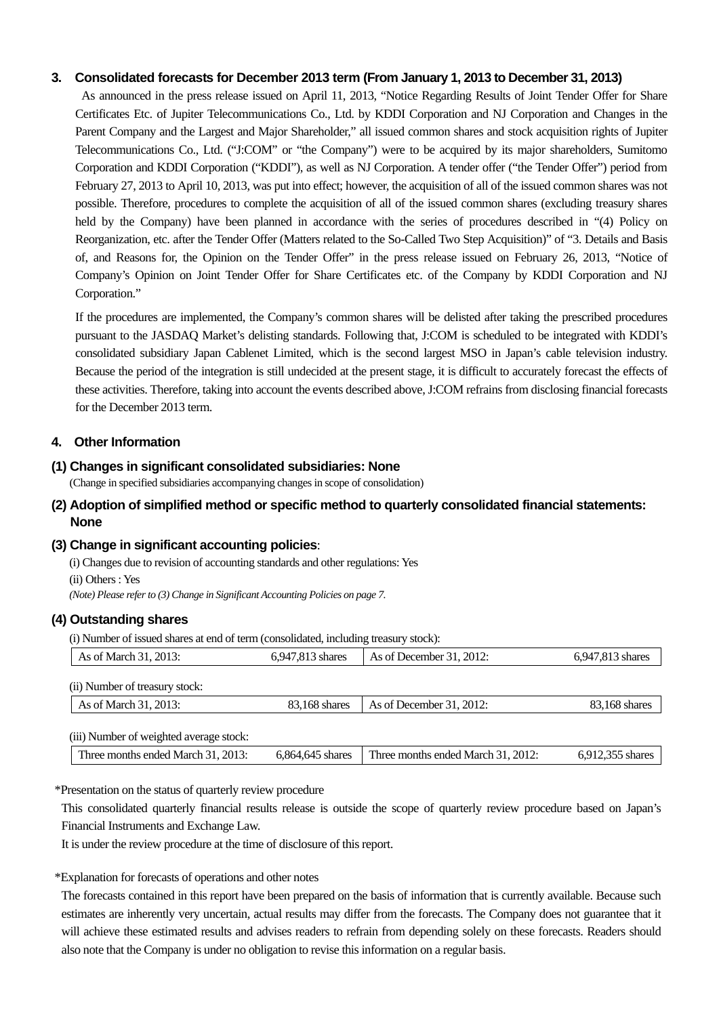#### **3. Consolidated forecasts for December 2013 term (From January 1, 2013 to December 31, 2013)**

As announced in the press release issued on April 11, 2013, "Notice Regarding Results of Joint Tender Offer for Share Certificates Etc. of Jupiter Telecommunications Co., Ltd. by KDDI Corporation and NJ Corporation and Changes in the Parent Company and the Largest and Major Shareholder," all issued common shares and stock acquisition rights of Jupiter Telecommunications Co., Ltd. ("J:COM" or "the Company") were to be acquired by its major shareholders, Sumitomo Corporation and KDDI Corporation ("KDDI"), as well as NJ Corporation. A tender offer ("the Tender Offer") period from February 27, 2013 to April 10, 2013, was put into effect; however, the acquisition of all of the issued common shares was not possible. Therefore, procedures to complete the acquisition of all of the issued common shares (excluding treasury shares held by the Company) have been planned in accordance with the series of procedures described in "(4) Policy on Reorganization, etc. after the Tender Offer (Matters related to the So-Called Two Step Acquisition)" of "3. Details and Basis of, and Reasons for, the Opinion on the Tender Offer" in the press release issued on February 26, 2013, "Notice of Company's Opinion on Joint Tender Offer for Share Certificates etc. of the Company by KDDI Corporation and NJ Corporation."

If the procedures are implemented, the Company's common shares will be delisted after taking the prescribed procedures pursuant to the JASDAQ Market's delisting standards. Following that, J:COM is scheduled to be integrated with KDDI's consolidated subsidiary Japan Cablenet Limited, which is the second largest MSO in Japan's cable television industry. Because the period of the integration is still undecided at the present stage, it is difficult to accurately forecast the effects of these activities. Therefore, taking into account the events described above, J:COM refrains from disclosing financial forecasts for the December 2013 term.

#### **4. Other Information**

#### **(1) Changes in significant consolidated subsidiaries: None**

(Change in specified subsidiaries accompanying changes in scope of consolidation)

#### **(2) Adoption of simplified method or specific method to quarterly consolidated financial statements: None**

#### **(3) Change in significant accounting policies**:

(i) Changes due to revision of accounting standards and other regulations: Yes (ii) Others : Yes *(Note) Please refer to (3) Change in Significant Accounting Policies on page 7.*

#### **(4) Outstanding shares**

(i) Number of issued shares at end of term (consolidated, including treasury stock):

| As of March 31, 2013:                   | 6,947,813 shares | As of December $31, 2012$ : | 6,947,813 shares |
|-----------------------------------------|------------------|-----------------------------|------------------|
| (ii) Number of treasury stock:          |                  |                             |                  |
| As of March 31, 2013:                   | 83.168 shares    | As of December $31, 2012$ : | 83,168 shares    |
| (iii) Number of weighted average stock: |                  |                             |                  |

\*Presentation on the status of quarterly review procedure

This consolidated quarterly financial results release is outside the scope of quarterly review procedure based on Japan's Financial Instruments and Exchange Law.

It is under the review procedure at the time of disclosure of this report.

\*Explanation for forecasts of operations and other notes

The forecasts contained in this report have been prepared on the basis of information that is currently available. Because such estimates are inherently very uncertain, actual results may differ from the forecasts. The Company does not guarantee that it will achieve these estimated results and advises readers to refrain from depending solely on these forecasts. Readers should also note that the Company is under no obligation to revise this information on a regular basis.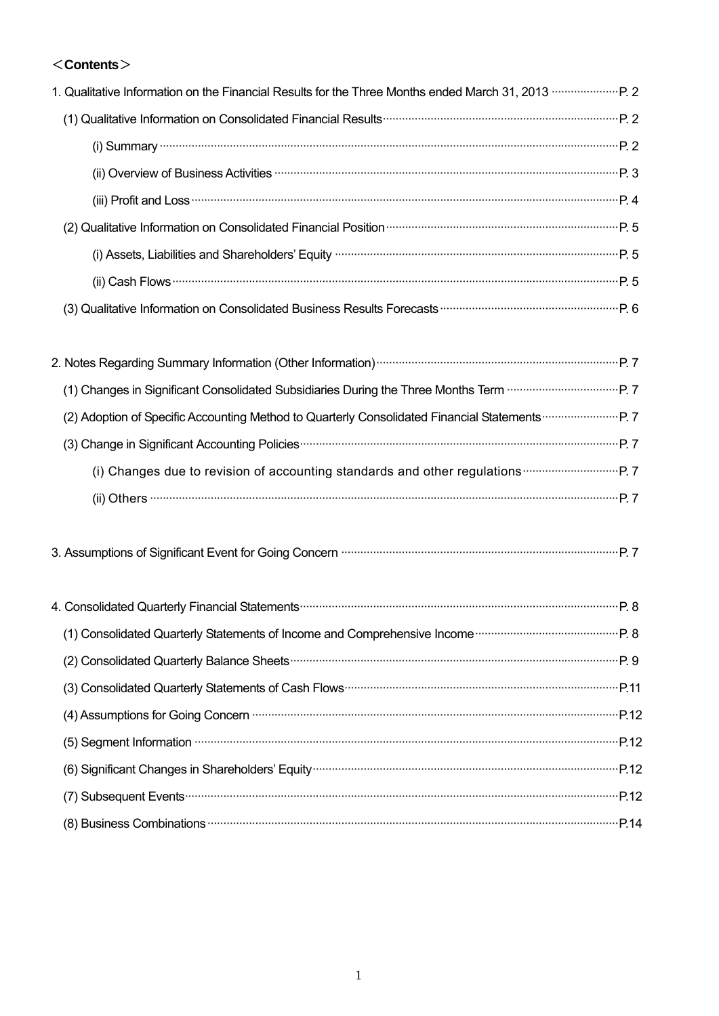# <**Contents**>

| 1. Qualitative Information on the Financial Results for the Three Months ended March 31, 2013 <b></b> P. 2                                                                                                                                                                                                                          |  |
|-------------------------------------------------------------------------------------------------------------------------------------------------------------------------------------------------------------------------------------------------------------------------------------------------------------------------------------|--|
|                                                                                                                                                                                                                                                                                                                                     |  |
|                                                                                                                                                                                                                                                                                                                                     |  |
| (ii) Overview of Business Activities <b>Witch and Street and Street Parameter</b> P. 3                                                                                                                                                                                                                                              |  |
| (iii) Profit and Loss <b>continues</b> and continues and continues and profit and Loss <b>continues and continues and profit and loss</b> continues and profit and continues and profit and continues and profit and profit and profit a                                                                                            |  |
|                                                                                                                                                                                                                                                                                                                                     |  |
| (i) Assets, Liabilities and Shareholders' Equity manufactured and contain an extraordinary P. 5                                                                                                                                                                                                                                     |  |
| $(ii)$ Cash Flows $\cdots$ $\cdots$ $\cdots$ $\cdots$ $\cdots$ $\cdots$ $\cdots$ $\cdots$ $\cdots$ $\cdots$ $\cdots$ $\cdots$ $\cdots$ $\cdots$ $\cdots$ $\cdots$ $\cdots$ $\cdots$ $\cdots$ $\cdots$ $\cdots$ $\cdots$ $\cdots$ $\cdots$ $\cdots$ $\cdots$ $\cdots$ $\cdots$ $\cdots$ $\cdots$ $\cdots$ $\cdots$ $\cdots$ $\cdots$ |  |
|                                                                                                                                                                                                                                                                                                                                     |  |
|                                                                                                                                                                                                                                                                                                                                     |  |
|                                                                                                                                                                                                                                                                                                                                     |  |
|                                                                                                                                                                                                                                                                                                                                     |  |
|                                                                                                                                                                                                                                                                                                                                     |  |
|                                                                                                                                                                                                                                                                                                                                     |  |
|                                                                                                                                                                                                                                                                                                                                     |  |
| $(ii)$ Others $\cdots$ $P.7$                                                                                                                                                                                                                                                                                                        |  |
|                                                                                                                                                                                                                                                                                                                                     |  |
|                                                                                                                                                                                                                                                                                                                                     |  |

| (1) Consolidated Quarterly Statements of Income and Comprehensive Income <b>Community</b> 28                                                                                                                                   |  |
|--------------------------------------------------------------------------------------------------------------------------------------------------------------------------------------------------------------------------------|--|
|                                                                                                                                                                                                                                |  |
|                                                                                                                                                                                                                                |  |
| (4) Assumptions for Going Concern manufactured and an extensive parameter of Assumptions for Going Concern manufactured and an extendion parameter parameter parameter and an extendion parameter and a set of Assumption of A |  |
| (5) Segment Information material content and properties and properties and properties and properties and properties and properties are properties and properties are properties and properties are properties and properties a |  |
|                                                                                                                                                                                                                                |  |
|                                                                                                                                                                                                                                |  |
|                                                                                                                                                                                                                                |  |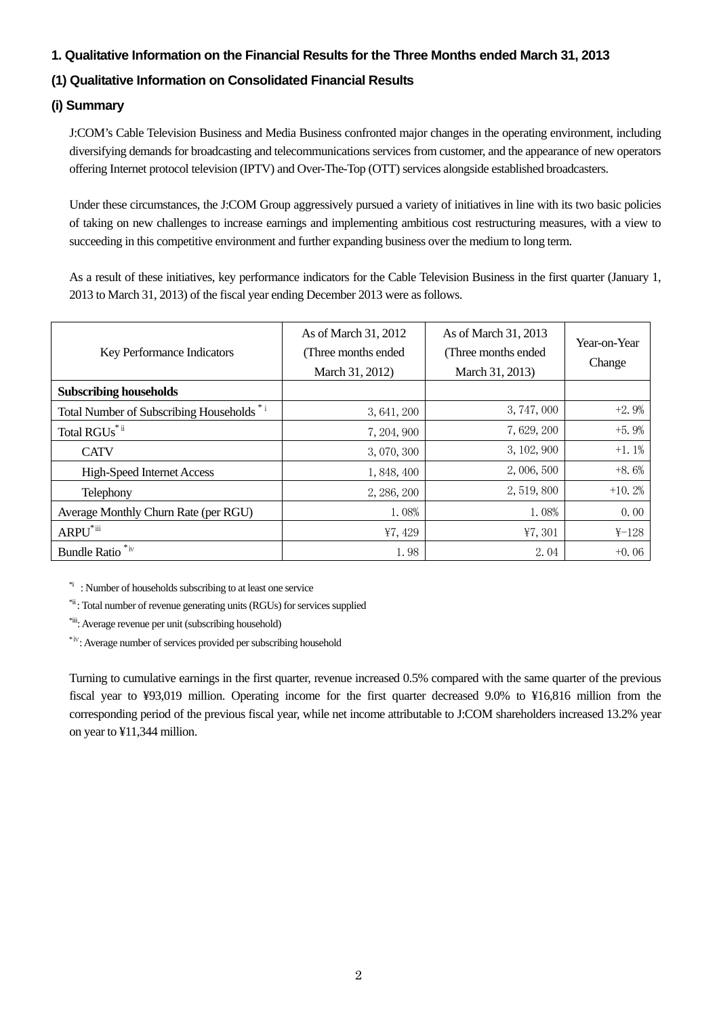### **1. Qualitative Information on the Financial Results for the Three Months ended March 31, 2013**

# **(1) Qualitative Information on Consolidated Financial Results**

## **(i) Summary**

J:COM's Cable Television Business and Media Business confronted major changes in the operating environment, including diversifying demands for broadcasting and telecommunications services from customer, and the appearance of new operators offering Internet protocol television (IPTV) and Over-The-Top (OTT) services alongside established broadcasters.

Under these circumstances, the J:COM Group aggressively pursued a variety of initiatives in line with its two basic policies of taking on new challenges to increase earnings and implementing ambitious cost restructuring measures, with a view to succeeding in this competitive environment and further expanding business over the medium to long term.

As a result of these initiatives, key performance indicators for the Cable Television Business in the first quarter (January 1, 2013 to March 31, 2013) of the fiscal year ending December 2013 were as follows.

| <b>Key Performance Indicators</b>          | As of March 31, 2012<br>(Three months ended)<br>March 31, 2012) | As of March 31, 2013<br>(Three months ended)<br>March 31, 2013) | Year-on-Year<br>Change |
|--------------------------------------------|-----------------------------------------------------------------|-----------------------------------------------------------------|------------------------|
| <b>Subscribing households</b>              |                                                                 |                                                                 |                        |
| Total Number of Subscribing Households *** | 3, 641, 200                                                     | 3, 747, 000                                                     | $+2.9%$                |
| Total RGUs <sup>*ii</sup>                  | 7, 204, 900                                                     | 7,629,200                                                       | $+5.9%$                |
| <b>CATV</b>                                | 3, 070, 300                                                     | 3, 102, 900                                                     | $+1.1\%$               |
| <b>High-Speed Internet Access</b>          | 1, 848, 400                                                     | 2,006,500                                                       | $+8.6%$                |
| Telephony                                  | 2, 286, 200                                                     | 2,519,800                                                       | $+10.2%$               |
| Average Monthly Churn Rate (per RGU)       | 1.08%                                                           | 1.08%                                                           | 0.00                   |
| ARPU <sup>*iii</sup>                       | ¥7, 429                                                         | 47,301                                                          | $_{4-128}$             |
| <b>Bundle Ratio</b>                        | 1.98                                                            | 2.04                                                            | $+0.06$                |

\*i : Number of households subscribing to at least one service

\*ii : Total number of revenue generating units (RGUs) for services supplied

\*iii: Average revenue per unit (subscribing household)

\*ⅳ: Average number of services provided per subscribing household

Turning to cumulative earnings in the first quarter, revenue increased 0.5% compared with the same quarter of the previous fiscal year to ¥93,019 million. Operating income for the first quarter decreased 9.0% to ¥16,816 million from the corresponding period of the previous fiscal year, while net income attributable to J:COM shareholders increased 13.2% year on year to ¥11,344 million.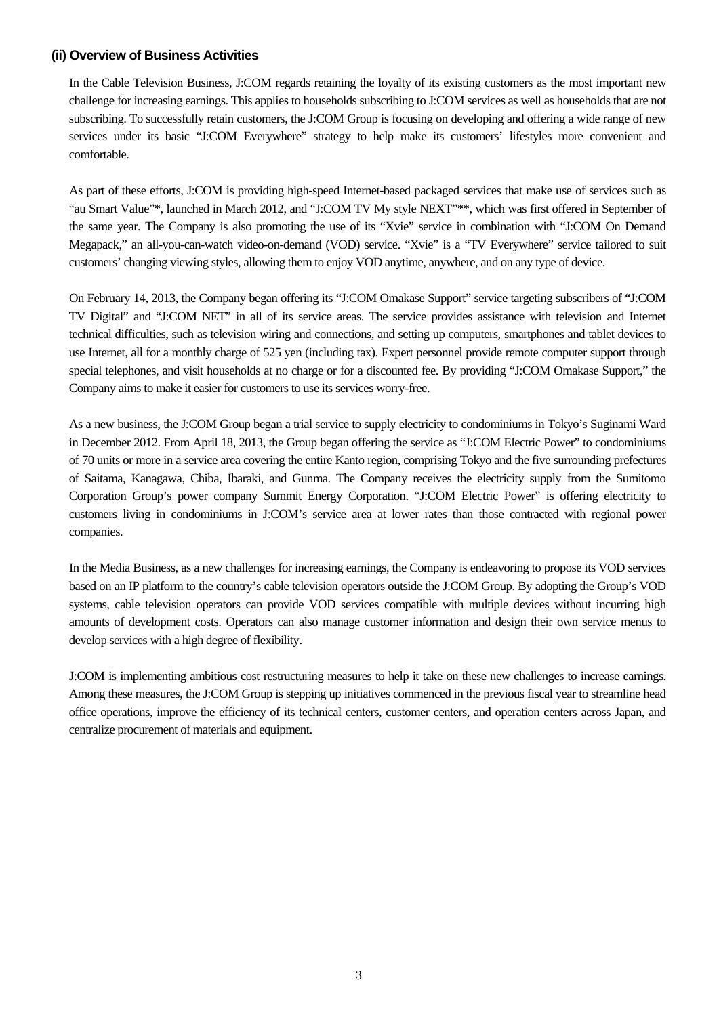#### **(ii) Overview of Business Activities**

In the Cable Television Business, J:COM regards retaining the loyalty of its existing customers as the most important new challenge for increasing earnings. This applies to households subscribing to J:COM services as well as households that are not subscribing. To successfully retain customers, the J:COM Group is focusing on developing and offering a wide range of new services under its basic "J:COM Everywhere" strategy to help make its customers' lifestyles more convenient and comfortable.

As part of these efforts, J:COM is providing high-speed Internet-based packaged services that make use of services such as "au Smart Value"\*, launched in March 2012, and "J:COM TV My style NEXT"\*\*, which was first offered in September of the same year. The Company is also promoting the use of its "Xvie" service in combination with "J:COM On Demand Megapack," an all-you-can-watch video-on-demand (VOD) service. "Xvie" is a "TV Everywhere" service tailored to suit customers' changing viewing styles, allowing them to enjoy VOD anytime, anywhere, and on any type of device.

On February 14, 2013, the Company began offering its "J:COM Omakase Support" service targeting subscribers of "J:COM TV Digital" and "J:COM NET" in all of its service areas. The service provides assistance with television and Internet technical difficulties, such as television wiring and connections, and setting up computers, smartphones and tablet devices to use Internet, all for a monthly charge of 525 yen (including tax). Expert personnel provide remote computer support through special telephones, and visit households at no charge or for a discounted fee. By providing "J:COM Omakase Support," the Company aims to make it easier for customers to use its services worry-free.

As a new business, the J:COM Group began a trial service to supply electricity to condominiums in Tokyo's Suginami Ward in December 2012. From April 18, 2013, the Group began offering the service as "J:COM Electric Power" to condominiums of 70 units or more in a service area covering the entire Kanto region, comprising Tokyo and the five surrounding prefectures of Saitama, Kanagawa, Chiba, Ibaraki, and Gunma. The Company receives the electricity supply from the Sumitomo Corporation Group's power company Summit Energy Corporation. "J:COM Electric Power" is offering electricity to customers living in condominiums in J:COM's service area at lower rates than those contracted with regional power companies.

In the Media Business, as a new challenges for increasing earnings, the Company is endeavoring to propose its VOD services based on an IP platform to the country's cable television operators outside the J:COM Group. By adopting the Group's VOD systems, cable television operators can provide VOD services compatible with multiple devices without incurring high amounts of development costs. Operators can also manage customer information and design their own service menus to develop services with a high degree of flexibility.

J:COM is implementing ambitious cost restructuring measures to help it take on these new challenges to increase earnings. Among these measures, the J:COM Group is stepping up initiatives commenced in the previous fiscal year to streamline head office operations, improve the efficiency of its technical centers, customer centers, and operation centers across Japan, and centralize procurement of materials and equipment.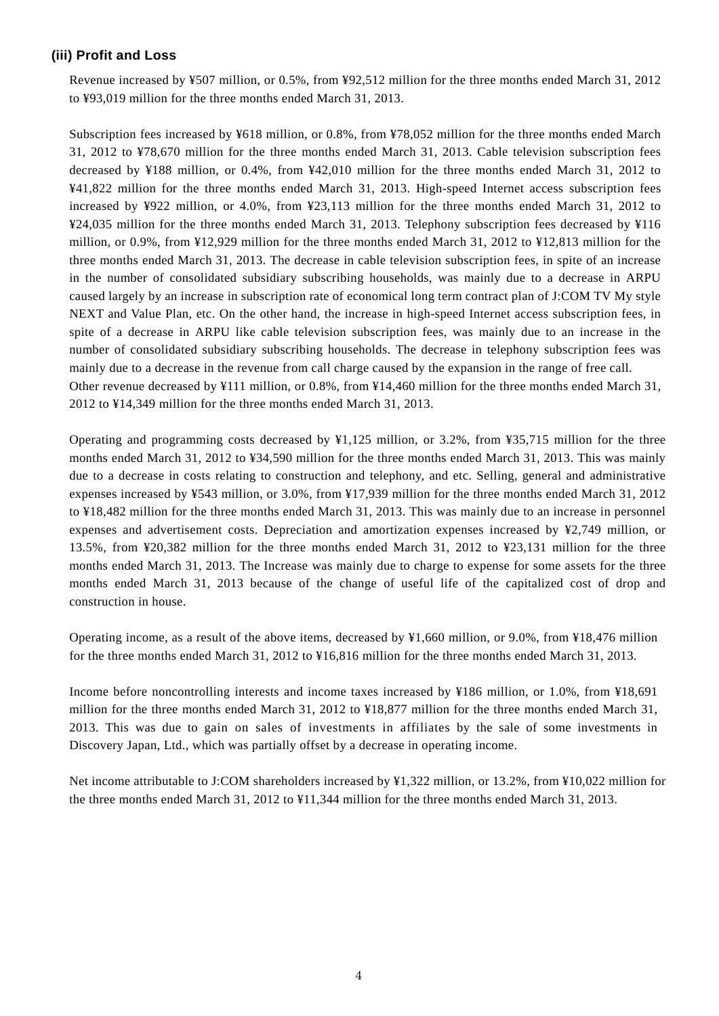#### **(iii) Profit and Loss**

Revenue increased by ¥507 million, or 0.5%, from ¥92,512 million for the three months ended March 31, 2012 to ¥93,019 million for the three months ended March 31, 2013.

Subscription fees increased by ¥618 million, or 0.8%, from ¥78,052 million for the three months ended March 31, 2012 to ¥78,670 million for the three months ended March 31, 2013. Cable television subscription fees decreased by ¥188 million, or 0.4%, from ¥42,010 million for the three months ended March 31, 2012 to ¥41,822 million for the three months ended March 31, 2013. High-speed Internet access subscription fees increased by ¥922 million, or 4.0%, from ¥23,113 million for the three months ended March 31, 2012 to ¥24,035 million for the three months ended March 31, 2013. Telephony subscription fees decreased by ¥116 million, or 0.9%, from ¥12,929 million for the three months ended March 31, 2012 to ¥12,813 million for the three months ended March 31, 2013. The decrease in cable television subscription fees, in spite of an increase in the number of consolidated subsidiary subscribing households, was mainly due to a decrease in ARPU caused largely by an increase in subscription rate of economical long term contract plan of J:COM TV My style NEXT and Value Plan, etc. On the other hand, the increase in high-speed Internet access subscription fees, in spite of a decrease in ARPU like cable television subscription fees, was mainly due to an increase in the number of consolidated subsidiary subscribing households. The decrease in telephony subscription fees was mainly due to a decrease in the revenue from call charge caused by the expansion in the range of free call. Other revenue decreased by ¥111 million, or 0.8%, from ¥14,460 million for the three months ended March 31, 2012 to ¥14,349 million for the three months ended March 31, 2013.

Operating and programming costs decreased by ¥1,125 million, or 3.2%, from ¥35,715 million for the three months ended March 31, 2012 to ¥34,590 million for the three months ended March 31, 2013. This was mainly due to a decrease in costs relating to construction and telephony, and etc. Selling, general and administrative expenses increased by ¥543 million, or 3.0%, from ¥17,939 million for the three months ended March 31, 2012 to ¥18,482 million for the three months ended March 31, 2013. This was mainly due to an increase in personnel expenses and advertisement costs. Depreciation and amortization expenses increased by ¥2,749 million, or 13.5%, from ¥20,382 million for the three months ended March 31, 2012 to ¥23,131 million for the three months ended March 31, 2013. The Increase was mainly due to charge to expense for some assets for the three months ended March 31, 2013 because of the change of useful life of the capitalized cost of drop and construction in house.

Operating income, as a result of the above items, decreased by ¥1,660 million, or 9.0%, from ¥18,476 million for the three months ended March 31, 2012 to ¥16,816 million for the three months ended March 31, 2013.

Income before noncontrolling interests and income taxes increased by ¥186 million, or 1.0%, from ¥18,691 million for the three months ended March 31, 2012 to ¥18,877 million for the three months ended March 31, 2013. This was due to gain on sales of investments in affiliates by the sale of some investments in Discovery Japan, Ltd., which was partially offset by a decrease in operating income.

Net income attributable to J:COM shareholders increased by ¥1,322 million, or 13.2%, from ¥10,022 million for the three months ended March 31, 2012 to ¥11,344 million for the three months ended March 31, 2013.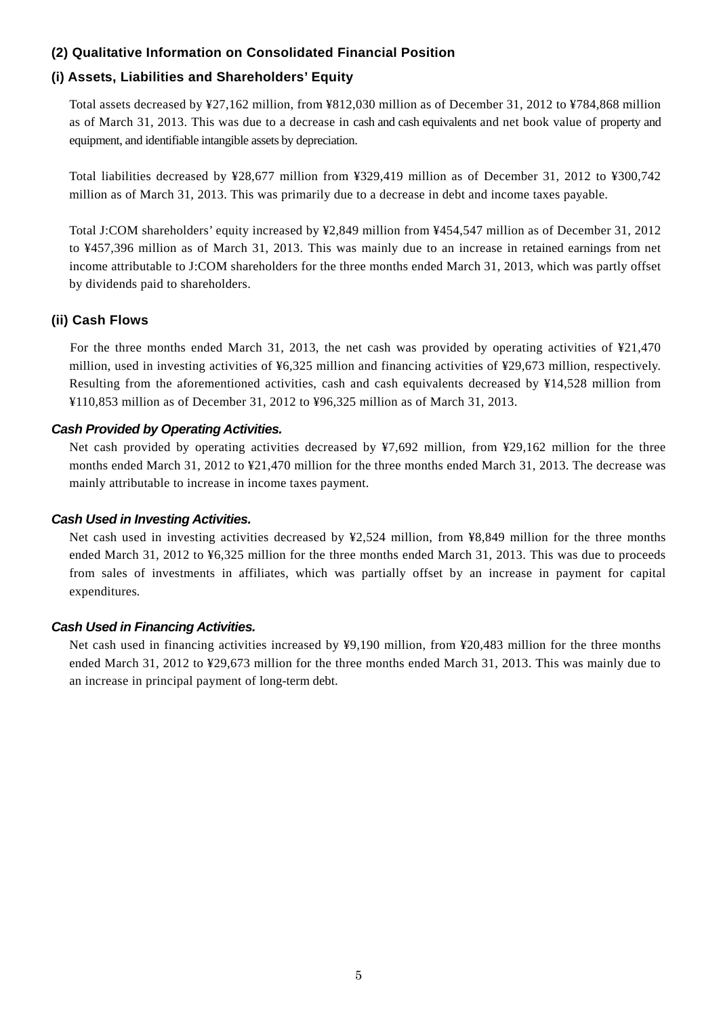### **(2) Qualitative Information on Consolidated Financial Position**

## **(i) Assets, Liabilities and Shareholders' Equity**

Total assets decreased by ¥27,162 million, from ¥812,030 million as of December 31, 2012 to ¥784,868 million as of March 31, 2013. This was due to a decrease in cash and cash equivalents and net book value of property and equipment, and identifiable intangible assets by depreciation.

Total liabilities decreased by ¥28,677 million from ¥329,419 million as of December 31, 2012 to ¥300,742 million as of March 31, 2013. This was primarily due to a decrease in debt and income taxes payable.

Total J:COM shareholders' equity increased by ¥2,849 million from ¥454,547 million as of December 31, 2012 to ¥457,396 million as of March 31, 2013. This was mainly due to an increase in retained earnings from net income attributable to J:COM shareholders for the three months ended March 31, 2013, which was partly offset by dividends paid to shareholders.

### **(ii) Cash Flows**

For the three months ended March 31, 2013, the net cash was provided by operating activities of ¥21,470 million, used in investing activities of ¥6,325 million and financing activities of ¥29,673 million, respectively. Resulting from the aforementioned activities, cash and cash equivalents decreased by ¥14,528 million from ¥110,853 million as of December 31, 2012 to ¥96,325 million as of March 31, 2013.

#### *Cash Provided by Operating Activities.*

Net cash provided by operating activities decreased by ¥7,692 million, from ¥29,162 million for the three months ended March 31, 2012 to ¥21,470 million for the three months ended March 31, 2013. The decrease was mainly attributable to increase in income taxes payment.

### *Cash Used in Investing Activities.*

Net cash used in investing activities decreased by ¥2,524 million, from ¥8,849 million for the three months ended March 31, 2012 to ¥6,325 million for the three months ended March 31, 2013. This was due to proceeds from sales of investments in affiliates, which was partially offset by an increase in payment for capital expenditures*.* 

### *Cash Used in Financing Activities.*

Net cash used in financing activities increased by ¥9,190 million, from ¥20,483 million for the three months ended March 31, 2012 to ¥29,673 million for the three months ended March 31, 2013. This was mainly due to an increase in principal payment of long-term debt.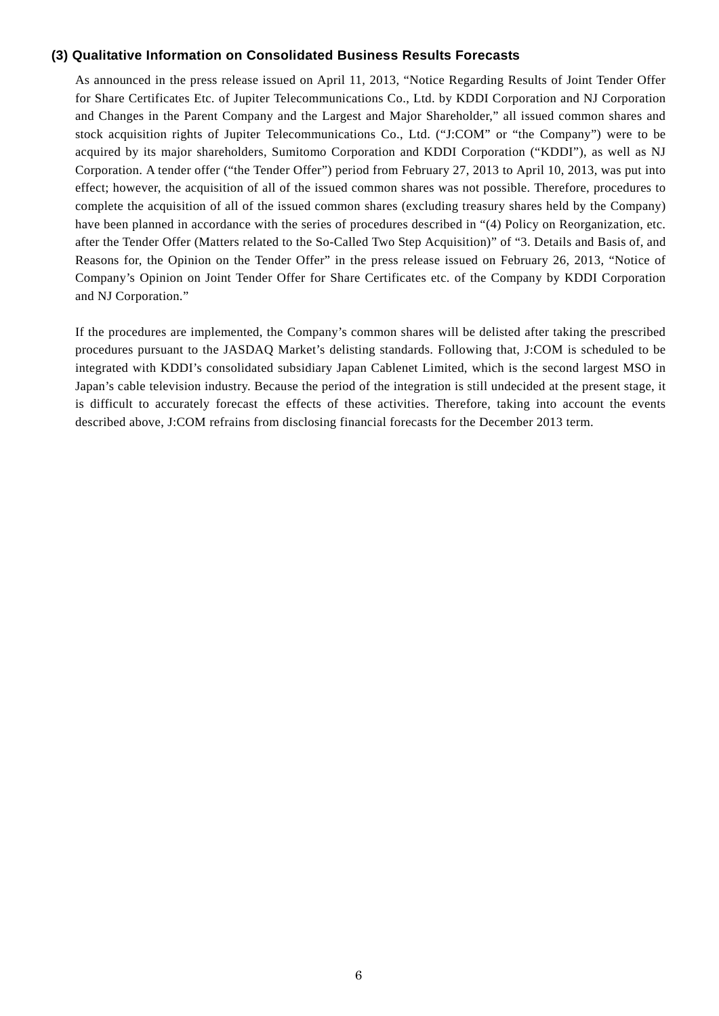#### **(3) Qualitative Information on Consolidated Business Results Forecasts**

As announced in the press release issued on April 11, 2013, "Notice Regarding Results of Joint Tender Offer for Share Certificates Etc. of Jupiter Telecommunications Co., Ltd. by KDDI Corporation and NJ Corporation and Changes in the Parent Company and the Largest and Major Shareholder," all issued common shares and stock acquisition rights of Jupiter Telecommunications Co., Ltd. ("J:COM" or "the Company") were to be acquired by its major shareholders, Sumitomo Corporation and KDDI Corporation ("KDDI"), as well as NJ Corporation. A tender offer ("the Tender Offer") period from February 27, 2013 to April 10, 2013, was put into effect; however, the acquisition of all of the issued common shares was not possible. Therefore, procedures to complete the acquisition of all of the issued common shares (excluding treasury shares held by the Company) have been planned in accordance with the series of procedures described in "(4) Policy on Reorganization, etc. after the Tender Offer (Matters related to the So-Called Two Step Acquisition)" of "3. Details and Basis of, and Reasons for, the Opinion on the Tender Offer" in the press release issued on February 26, 2013, "Notice of Company's Opinion on Joint Tender Offer for Share Certificates etc. of the Company by KDDI Corporation and NJ Corporation."

If the procedures are implemented, the Company's common shares will be delisted after taking the prescribed procedures pursuant to the JASDAQ Market's delisting standards. Following that, J:COM is scheduled to be integrated with KDDI's consolidated subsidiary Japan Cablenet Limited, which is the second largest MSO in Japan's cable television industry. Because the period of the integration is still undecided at the present stage, it is difficult to accurately forecast the effects of these activities. Therefore, taking into account the events described above, J:COM refrains from disclosing financial forecasts for the December 2013 term.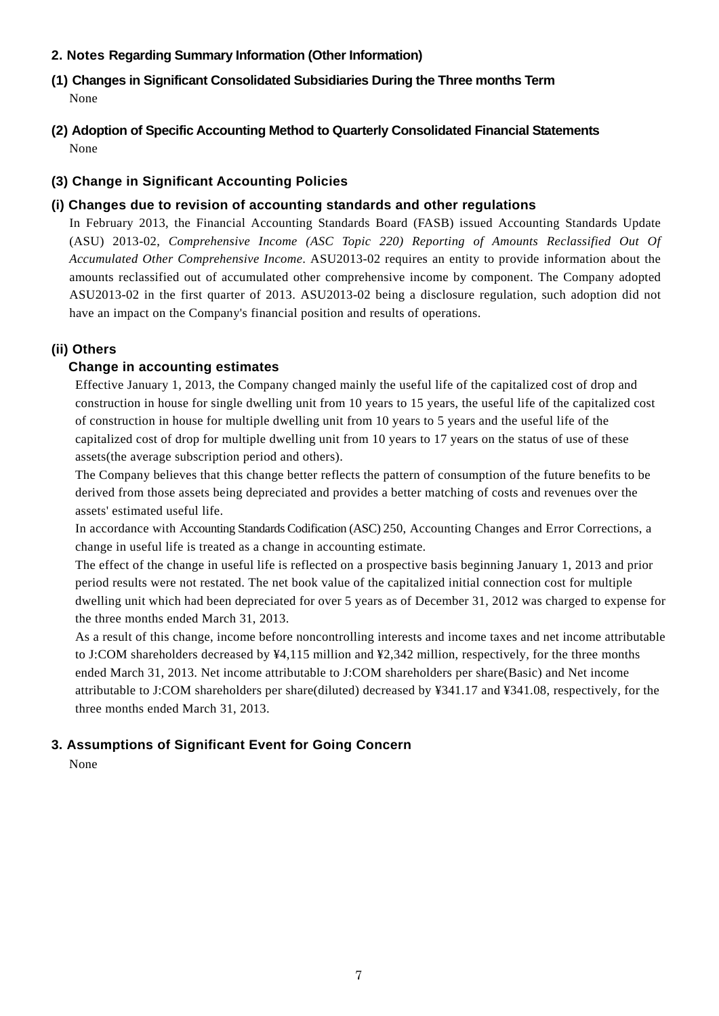## **2. Notes Regarding Summary Information (Other Information)**

- **(1) Changes in Significant Consolidated Subsidiaries During the Three months Term** None
- **(2) Adoption of Specific Accounting Method to Quarterly Consolidated Financial Statements**  None

# **(3) Change in Significant Accounting Policies**

# **(i) Changes due to revision of accounting standards and other regulations**

In February 2013, the Financial Accounting Standards Board (FASB) issued Accounting Standards Update (ASU) 2013-02, *Comprehensive Income (ASC Topic 220) Reporting of Amounts Reclassified Out Of Accumulated Other Comprehensive Income*. ASU2013-02 requires an entity to provide information about the amounts reclassified out of accumulated other comprehensive income by component. The Company adopted ASU2013-02 in the first quarter of 2013. ASU2013-02 being a disclosure regulation, such adoption did not have an impact on the Company's financial position and results of operations.

# **(ii) Others**

# **Change in accounting estimates**

Effective January 1, 2013, the Company changed mainly the useful life of the capitalized cost of drop and construction in house for single dwelling unit from 10 years to 15 years, the useful life of the capitalized cost of construction in house for multiple dwelling unit from 10 years to 5 years and the useful life of the capitalized cost of drop for multiple dwelling unit from 10 years to 17 years on the status of use of these assets(the average subscription period and others).

The Company believes that this change better reflects the pattern of consumption of the future benefits to be derived from those assets being depreciated and provides a better matching of costs and revenues over the assets' estimated useful life.

In accordance with Accounting Standards Codification (ASC) 250, Accounting Changes and Error Corrections, a change in useful life is treated as a change in accounting estimate.

The effect of the change in useful life is reflected on a prospective basis beginning January 1, 2013 and prior period results were not restated. The net book value of the capitalized initial connection cost for multiple dwelling unit which had been depreciated for over 5 years as of December 31, 2012 was charged to expense for the three months ended March 31, 2013.

As a result of this change, income before noncontrolling interests and income taxes and net income attributable to J:COM shareholders decreased by ¥4,115 million and ¥2,342 million, respectively, for the three months ended March 31, 2013. Net income attributable to J:COM shareholders per share(Basic) and Net income attributable to J:COM shareholders per share(diluted) decreased by ¥341.17 and ¥341.08, respectively, for the three months ended March 31, 2013.

# **3. Assumptions of Significant Event for Going Concern**

None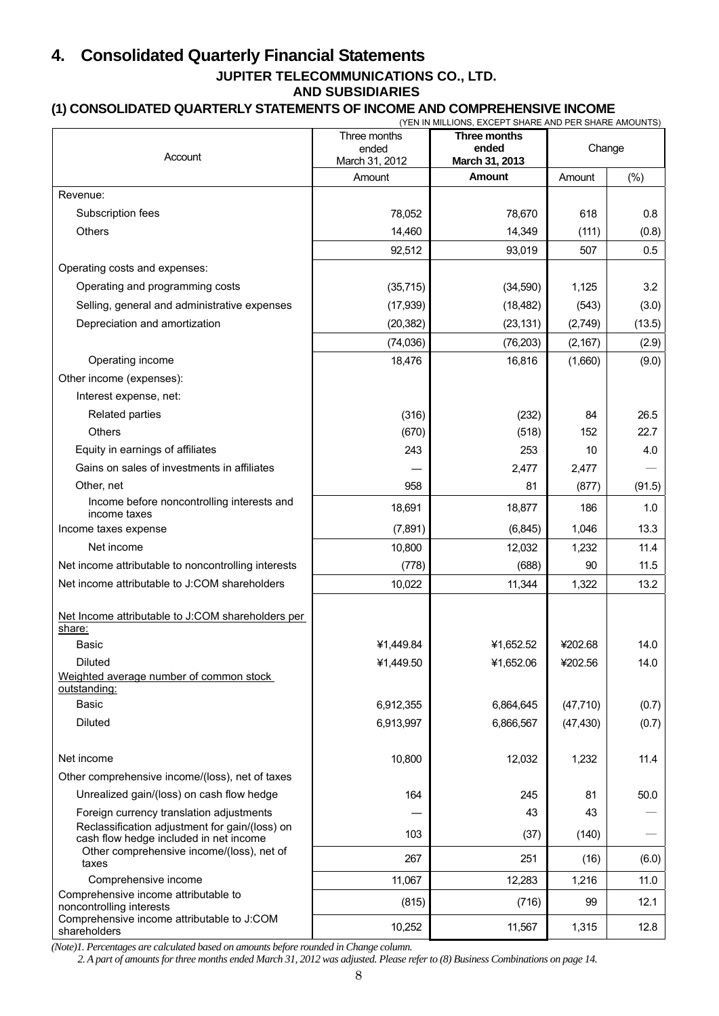# **4. Consolidated Quarterly Financial Statements**

# **JUPITER TELECOMMUNICATIONS CO., LTD.**

# **AND SUBSIDIARIES**

# **(1) CONSOLIDATED QUARTERLY STATEMENTS OF INCOME AND COMPREHENSIVE INCOME**

|                                                                                          | Three months<br>ended | (YEN IN MILLIONS, EXCEPT SHARE AND PER SHARE AMOUNTS)<br>Three months<br>ended | Change    |        |
|------------------------------------------------------------------------------------------|-----------------------|--------------------------------------------------------------------------------|-----------|--------|
| Account                                                                                  | March 31, 2012        | March 31, 2013                                                                 |           |        |
|                                                                                          | Amount                | Amount                                                                         | Amount    | $(\%)$ |
| Revenue:                                                                                 |                       |                                                                                |           |        |
| Subscription fees                                                                        | 78,052                | 78,670                                                                         | 618       | 0.8    |
| <b>Others</b>                                                                            | 14,460                | 14,349                                                                         | (111)     | (0.8)  |
|                                                                                          | 92,512                | 93,019                                                                         | 507       | 0.5    |
| Operating costs and expenses:                                                            |                       |                                                                                |           |        |
| Operating and programming costs                                                          | (35, 715)             | (34,590)                                                                       | 1,125     | 3.2    |
| Selling, general and administrative expenses                                             | (17, 939)             | (18, 482)                                                                      | (543)     | (3.0)  |
| Depreciation and amortization                                                            | (20, 382)             | (23, 131)                                                                      | (2,749)   | (13.5) |
|                                                                                          | (74, 036)             | (76, 203)                                                                      | (2, 167)  | (2.9)  |
| Operating income                                                                         | 18,476                | 16,816                                                                         | (1,660)   | (9.0)  |
| Other income (expenses):                                                                 |                       |                                                                                |           |        |
| Interest expense, net:                                                                   |                       |                                                                                |           |        |
| Related parties                                                                          | (316)                 | (232)                                                                          | 84        | 26.5   |
| <b>Others</b>                                                                            | (670)                 | (518)                                                                          | 152       | 22.7   |
| Equity in earnings of affiliates                                                         | 243                   | 253                                                                            | 10        | 4.0    |
| Gains on sales of investments in affiliates                                              |                       | 2,477                                                                          | 2,477     |        |
| Other, net                                                                               | 958                   | 81                                                                             | (877)     | (91.5) |
| Income before noncontrolling interests and<br>income taxes                               | 18,691                | 18,877                                                                         | 186       | 1.0    |
| Income taxes expense                                                                     | (7,891)               | (6, 845)                                                                       | 1,046     | 13.3   |
| Net income                                                                               | 10,800                | 12,032                                                                         | 1,232     | 11.4   |
| Net income attributable to noncontrolling interests                                      | (778)                 | (688)                                                                          | 90        | 11.5   |
| Net income attributable to J:COM shareholders                                            | 10,022                | 11,344                                                                         | 1,322     | 13.2   |
| Net Income attributable to J:COM shareholders per<br>share:                              |                       |                                                                                |           |        |
| <b>Basic</b>                                                                             | ¥1,449.84             | ¥1,652.52                                                                      | ¥202.68   | 14.0   |
| Diluted                                                                                  | ¥1,449.50             | ¥1,652.06                                                                      | ¥202.56   | 14.0   |
| Weighted average number of common stock<br>outstanding:                                  |                       |                                                                                |           |        |
| <b>Basic</b>                                                                             | 6,912,355             | 6,864,645                                                                      | (47, 710) | (0.7)  |
| <b>Diluted</b>                                                                           | 6,913,997             | 6,866,567                                                                      | (47, 430) | (0.7)  |
| Net income                                                                               | 10,800                | 12,032                                                                         | 1,232     | 11.4   |
| Other comprehensive income/(loss), net of taxes                                          |                       |                                                                                |           |        |
| Unrealized gain/(loss) on cash flow hedge                                                | 164                   | 245                                                                            | 81        | 50.0   |
| Foreign currency translation adjustments                                                 |                       | 43                                                                             | 43        |        |
| Reclassification adjustment for gain/(loss) on<br>cash flow hedge included in net income | 103                   | (37)                                                                           | (140)     |        |
| Other comprehensive income/(loss), net of<br>taxes                                       | 267                   | 251                                                                            | (16)      | (6.0)  |
| Comprehensive income                                                                     | 11,067                | 12,283                                                                         | 1,216     | 11.0   |
| Comprehensive income attributable to                                                     | (815)                 | (716)                                                                          | 99        | 12.1   |
| noncontrolling interests<br>Comprehensive income attributable to J:COM                   | 10,252                | 11,567                                                                         | 1,315     | 12.8   |
| shareholders                                                                             |                       |                                                                                |           |        |

*(Note)1. Percentages are calculated based on amounts before rounded in Change column.* 

*2. A part of amounts for three months ended March 31, 2012 was adjusted. Please refer to (8) Business Combinations on page 14.*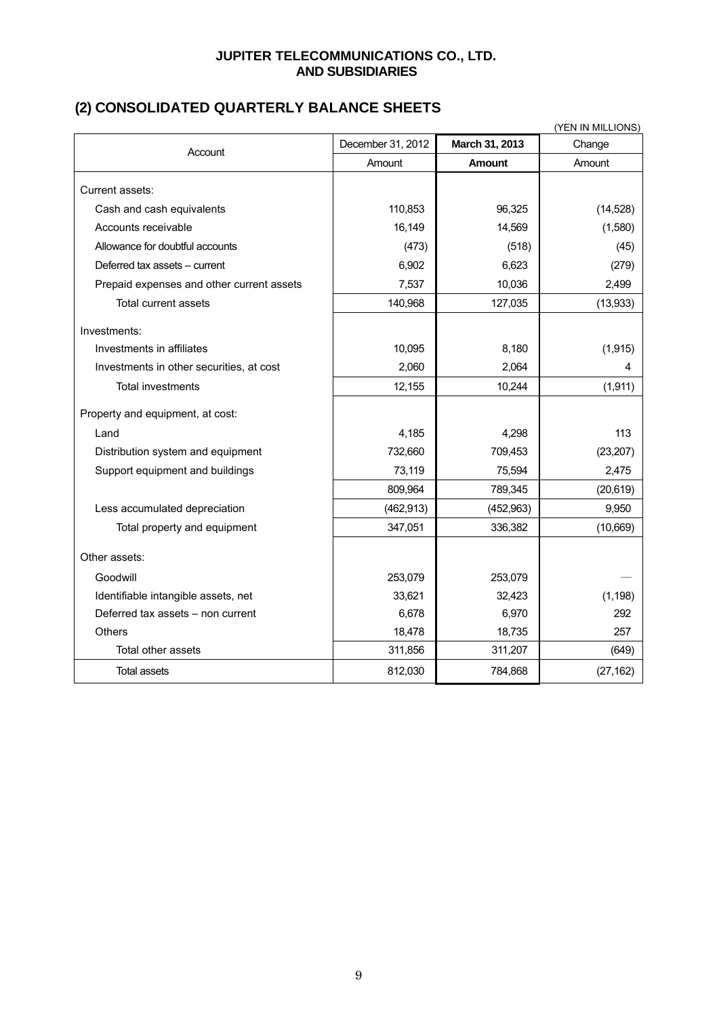### **JUPITER TELECOMMUNICATIONS CO., LTD. AND SUBSIDIARIES**

# **(2) CONSOLIDATED QUARTERLY BALANCE SHEETS**

| (YEN IN MILLIONS)                         |                   |                |           |  |
|-------------------------------------------|-------------------|----------------|-----------|--|
| Account                                   | December 31, 2012 | March 31, 2013 | Change    |  |
|                                           | Amount            | <b>Amount</b>  | Amount    |  |
| Current assets:                           |                   |                |           |  |
| Cash and cash equivalents                 | 110,853           | 96,325         | (14, 528) |  |
| Accounts receivable                       | 16,149            | 14,569         | (1,580)   |  |
| Allowance for doubtful accounts           | (473)             | (518)          | (45)      |  |
| Deferred tax assets - current             | 6,902             | 6,623          | (279)     |  |
| Prepaid expenses and other current assets | 7,537             | 10,036         | 2,499     |  |
| Total current assets                      | 140,968           | 127,035        | (13,933)  |  |
| Investments:                              |                   |                |           |  |
| Investments in affiliates                 | 10,095            | 8,180          | (1, 915)  |  |
| Investments in other securities, at cost  | 2,060             | 2,064          | 4         |  |
| <b>Total investments</b>                  | 12,155            | 10,244         | (1, 911)  |  |
| Property and equipment, at cost:          |                   |                |           |  |
| Land                                      | 4,185             | 4,298          | 113       |  |
| Distribution system and equipment         | 732,660           | 709,453        | (23, 207) |  |
| Support equipment and buildings           | 73,119            | 75,594         | 2,475     |  |
|                                           | 809,964           | 789,345        | (20, 619) |  |
| Less accumulated depreciation             | (462, 913)        | (452,963)      | 9,950     |  |
| Total property and equipment              | 347,051           | 336,382        | (10,669)  |  |
| Other assets:                             |                   |                |           |  |
| Goodwill                                  | 253,079           | 253,079        |           |  |
| Identifiable intangible assets, net       | 33,621            | 32,423         | (1, 198)  |  |
| Deferred tax assets - non current         | 6,678             | 6,970          | 292       |  |
| Others                                    | 18,478            | 18,735         | 257       |  |
| Total other assets                        | 311,856           | 311,207        | (649)     |  |
| <b>Total assets</b>                       | 812,030           | 784,868        | (27, 162) |  |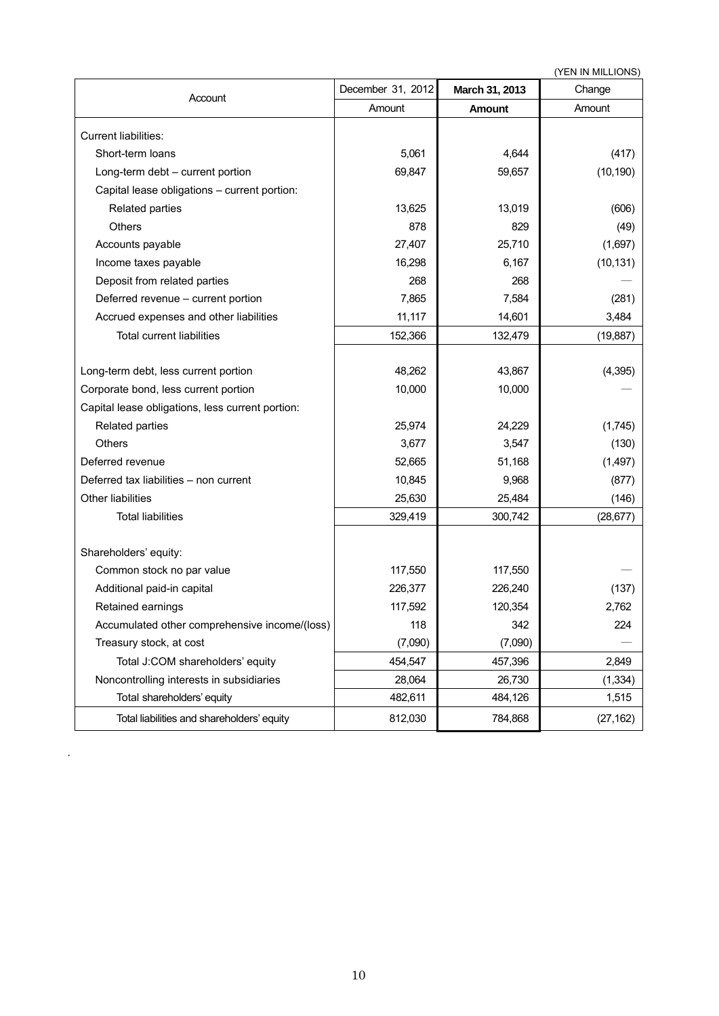|                                                  |                   |                | (YEN IN MILLIONS) |  |
|--------------------------------------------------|-------------------|----------------|-------------------|--|
| Account                                          | December 31, 2012 | March 31, 2013 | Change            |  |
|                                                  | Amount            | <b>Amount</b>  | Amount            |  |
| Current liabilities:                             |                   |                |                   |  |
| Short-term loans                                 | 5,061             | 4,644          | (417)             |  |
| Long-term debt - current portion                 | 69,847            | 59,657         | (10, 190)         |  |
| Capital lease obligations - current portion:     |                   |                |                   |  |
| Related parties                                  | 13,625            | 13,019         | (606)             |  |
| <b>Others</b>                                    | 878               | 829            | (49)              |  |
| Accounts payable                                 | 27,407            | 25,710         | (1,697)           |  |
| Income taxes payable                             | 16,298            | 6,167          | (10, 131)         |  |
| Deposit from related parties                     | 268               | 268            |                   |  |
| Deferred revenue - current portion               | 7,865             | 7,584          | (281)             |  |
| Accrued expenses and other liabilities           | 11,117            | 14,601         | 3,484             |  |
| <b>Total current liabilities</b>                 | 152,366           | 132,479        | (19, 887)         |  |
|                                                  |                   |                |                   |  |
| Long-term debt, less current portion             | 48,262            | 43,867         | (4, 395)          |  |
| Corporate bond, less current portion             | 10,000            | 10,000         |                   |  |
| Capital lease obligations, less current portion: |                   |                |                   |  |
| Related parties                                  | 25,974            | 24,229         | (1,745)           |  |
| Others                                           | 3,677             | 3,547          | (130)             |  |
| Deferred revenue                                 | 52,665            | 51,168         | (1,497)           |  |
| Deferred tax liabilities - non current           | 10,845            | 9,968          | (877)             |  |
| <b>Other liabilities</b>                         | 25,630            | 25,484         | (146)             |  |
| <b>Total liabilities</b>                         | 329,419           | 300,742        | (28, 677)         |  |
|                                                  |                   |                |                   |  |
| Shareholders' equity:                            |                   |                |                   |  |
| Common stock no par value                        | 117,550           | 117,550        |                   |  |
| Additional paid-in capital                       | 226,377           | 226,240        | (137)             |  |
| Retained earnings                                | 117,592           | 120,354        | 2.762             |  |
| Accumulated other comprehensive income/(loss)    | 118               | 342            | 224               |  |
| Treasury stock, at cost                          | (7,090)           | (7,090)        |                   |  |
| Total J:COM shareholders' equity                 | 454,547           | 457,396        | 2,849             |  |
| Noncontrolling interests in subsidiaries         | 28,064            | 26,730         | (1, 334)          |  |
| Total shareholders' equity                       | 482,611           | 484,126        | 1,515             |  |
| Total liabilities and shareholders' equity       | 812,030           | 784,868        | (27, 162)         |  |

.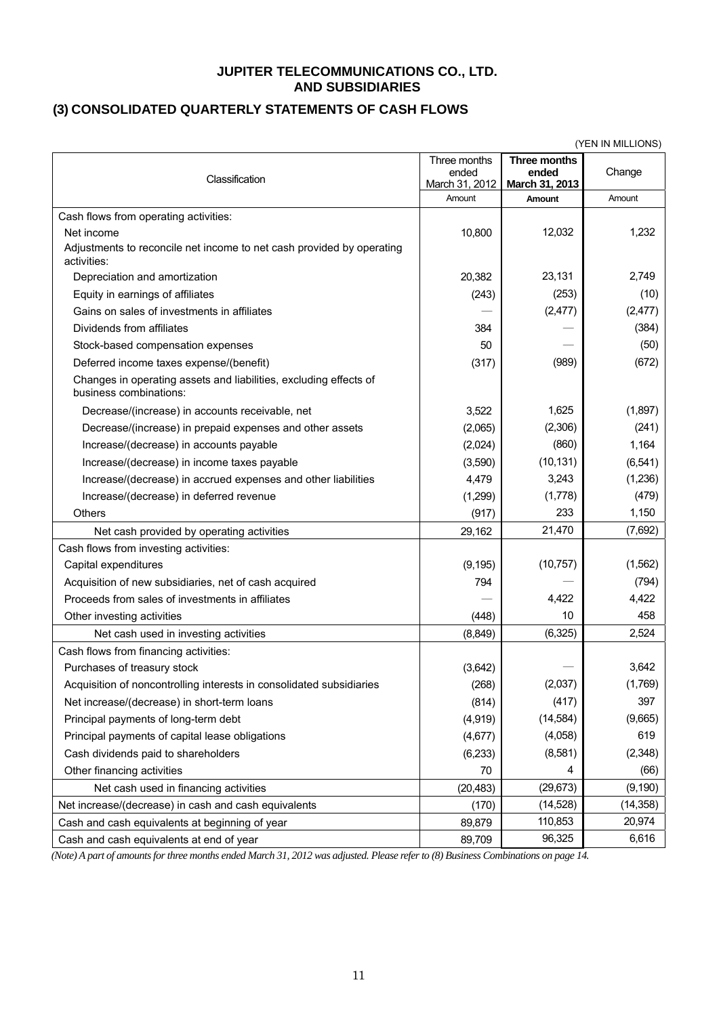#### **JUPITER TELECOMMUNICATIONS CO., LTD. AND SUBSIDIARIES**

# **(3) CONSOLIDATED QUARTERLY STATEMENTS OF CASH FLOWS**

|                                                                                             |                                         |                                         | (YEN IN MILLIONS) |
|---------------------------------------------------------------------------------------------|-----------------------------------------|-----------------------------------------|-------------------|
| Classification                                                                              | Three months<br>ended<br>March 31, 2012 | Three months<br>ended<br>March 31, 2013 | Change            |
|                                                                                             | Amount                                  | Amount                                  | Amount            |
| Cash flows from operating activities:                                                       |                                         |                                         |                   |
| Net income                                                                                  | 10,800                                  | 12,032                                  | 1,232             |
| Adjustments to reconcile net income to net cash provided by operating<br>activities:        |                                         |                                         |                   |
| Depreciation and amortization                                                               | 20,382                                  | 23,131                                  | 2,749             |
| Equity in earnings of affiliates                                                            | (243)                                   | (253)                                   | (10)              |
| Gains on sales of investments in affiliates                                                 |                                         | (2, 477)                                | (2, 477)          |
| Dividends from affiliates                                                                   | 384                                     |                                         | (384)             |
| Stock-based compensation expenses                                                           | 50                                      |                                         | (50)              |
| Deferred income taxes expense/(benefit)                                                     | (317)                                   | (989)                                   | (672)             |
| Changes in operating assets and liabilities, excluding effects of<br>business combinations: |                                         |                                         |                   |
| Decrease/(increase) in accounts receivable, net                                             | 3,522                                   | 1,625                                   | (1,897)           |
| Decrease/(increase) in prepaid expenses and other assets                                    | (2,065)                                 | (2,306)                                 | (241)             |
| Increase/(decrease) in accounts payable                                                     | (2,024)                                 | (860)                                   | 1,164             |
| Increase/(decrease) in income taxes payable                                                 | (3,590)                                 | (10, 131)                               | (6, 541)          |
| Increase/(decrease) in accrued expenses and other liabilities                               | 4,479                                   | 3,243                                   | (1,236)           |
| Increase/(decrease) in deferred revenue                                                     | (1,299)                                 | (1,778)                                 | (479)             |
| Others                                                                                      | (917)                                   | 233                                     | 1,150             |
| Net cash provided by operating activities                                                   | 29,162                                  | 21,470                                  | (7,692)           |
| Cash flows from investing activities:                                                       |                                         |                                         |                   |
| Capital expenditures                                                                        | (9, 195)                                | (10, 757)                               | (1, 562)          |
| Acquisition of new subsidiaries, net of cash acquired                                       | 794                                     |                                         | (794)             |
| Proceeds from sales of investments in affiliates                                            |                                         | 4,422                                   | 4,422             |
| Other investing activities                                                                  | (448)                                   | 10                                      | 458               |
| Net cash used in investing activities                                                       | (8,849)                                 | (6, 325)                                | 2,524             |
| Cash flows from financing activities:                                                       |                                         |                                         |                   |
| Purchases of treasury stock                                                                 | (3,642)                                 |                                         | 3,642             |
| Acquisition of noncontrolling interests in consolidated subsidiaries                        | (268)                                   | (2,037)                                 | (1,769)           |
| Net increase/(decrease) in short-term loans                                                 | (814)                                   | (417)                                   | 397               |
| Principal payments of long-term debt                                                        | (4,919)                                 | (14, 584)                               | (9,665)           |
| Principal payments of capital lease obligations                                             | (4,677)                                 | (4,058)                                 | 619               |
| Cash dividends paid to shareholders                                                         | (6, 233)                                | (8,581)                                 | (2,348)           |
| Other financing activities                                                                  | 70                                      | 4                                       | (66)              |
| Net cash used in financing activities                                                       | (20, 483)                               | (29, 673)                               | (9, 190)          |
| Net increase/(decrease) in cash and cash equivalents                                        | (170)                                   | (14, 528)                               | (14, 358)         |
| Cash and cash equivalents at beginning of year                                              | 89,879                                  | 110,853                                 | 20,974            |
| Cash and cash equivalents at end of year                                                    | 89,709                                  | 96,325                                  | 6,616             |

*(Note) A part of amounts for three months ended March 31, 2012 was adjusted. Please refer to (8) Business Combinations on page 14.*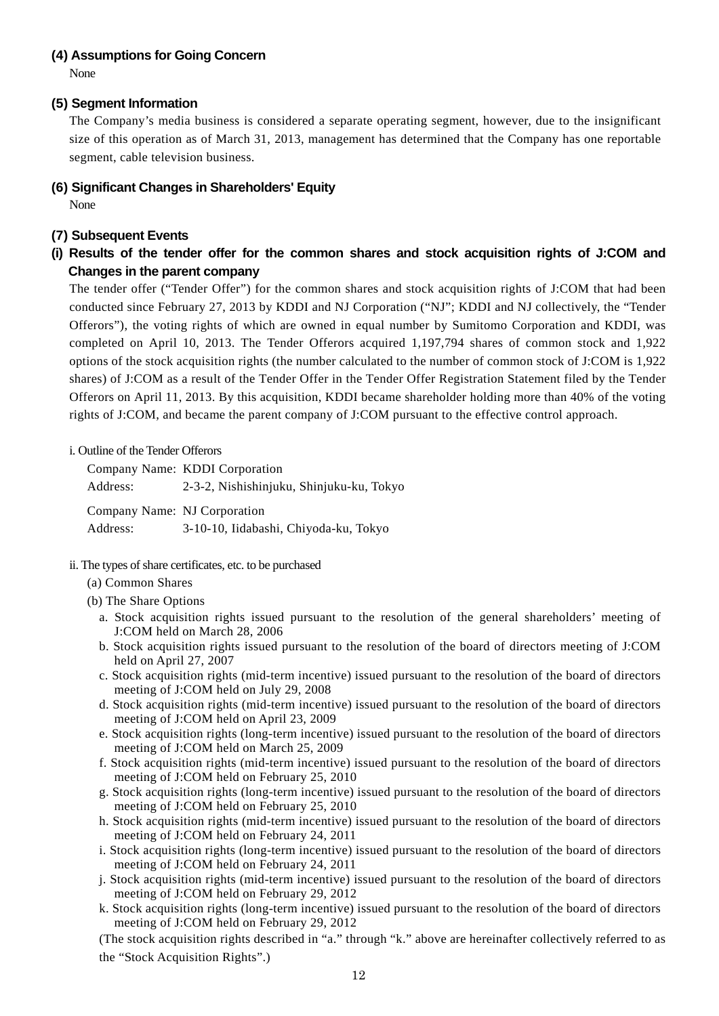#### **(4) Assumptions for Going Concern**

None

#### **(5) Segment Information**

The Company's media business is considered a separate operating segment, however, due to the insignificant size of this operation as of March 31, 2013, management has determined that the Company has one reportable segment, cable television business.

**(6) Significant Changes in Shareholders' Equity** 

None

## **(7) Subsequent Events**

**(i) Results of the tender offer for the common shares and stock acquisition rights of J:COM and Changes in the parent company** 

The tender offer ("Tender Offer") for the common shares and stock acquisition rights of J:COM that had been conducted since February 27, 2013 by KDDI and NJ Corporation ("NJ"; KDDI and NJ collectively, the "Tender Offerors"), the voting rights of which are owned in equal number by Sumitomo Corporation and KDDI, was completed on April 10, 2013. The Tender Offerors acquired 1,197,794 shares of common stock and 1,922 options of the stock acquisition rights (the number calculated to the number of common stock of J:COM is 1,922 shares) of J:COM as a result of the Tender Offer in the Tender Offer Registration Statement filed by the Tender Offerors on April 11, 2013. By this acquisition, KDDI became shareholder holding more than 40% of the voting rights of J:COM, and became the parent company of J:COM pursuant to the effective control approach.

#### i. Outline of the Tender Offerors

|                              | Company Name: KDDI Corporation           |
|------------------------------|------------------------------------------|
| Address:                     | 2-3-2, Nishishinjuku, Shinjuku-ku, Tokyo |
| Company Name: NJ Corporation |                                          |
| Address:                     | 3-10-10, Iidabashi, Chiyoda-ku, Tokyo    |

- ii. The types of share certificates, etc. to be purchased
	- (a) Common Shares
	- (b) The Share Options
		- a. Stock acquisition rights issued pursuant to the resolution of the general shareholders' meeting of J:COM held on March 28, 2006
		- b. Stock acquisition rights issued pursuant to the resolution of the board of directors meeting of J:COM held on April 27, 2007
		- c. Stock acquisition rights (mid-term incentive) issued pursuant to the resolution of the board of directors meeting of J:COM held on July 29, 2008
		- d. Stock acquisition rights (mid-term incentive) issued pursuant to the resolution of the board of directors meeting of J:COM held on April 23, 2009
		- e. Stock acquisition rights (long-term incentive) issued pursuant to the resolution of the board of directors meeting of J:COM held on March 25, 2009
		- f. Stock acquisition rights (mid-term incentive) issued pursuant to the resolution of the board of directors meeting of J:COM held on February 25, 2010
		- g. Stock acquisition rights (long-term incentive) issued pursuant to the resolution of the board of directors meeting of J:COM held on February 25, 2010
		- h. Stock acquisition rights (mid-term incentive) issued pursuant to the resolution of the board of directors meeting of J:COM held on February 24, 2011
		- i. Stock acquisition rights (long-term incentive) issued pursuant to the resolution of the board of directors meeting of J:COM held on February 24, 2011
		- j. Stock acquisition rights (mid-term incentive) issued pursuant to the resolution of the board of directors meeting of J:COM held on February 29, 2012
		- k. Stock acquisition rights (long-term incentive) issued pursuant to the resolution of the board of directors meeting of J:COM held on February 29, 2012

(The stock acquisition rights described in "a." through "k." above are hereinafter collectively referred to as the "Stock Acquisition Rights".)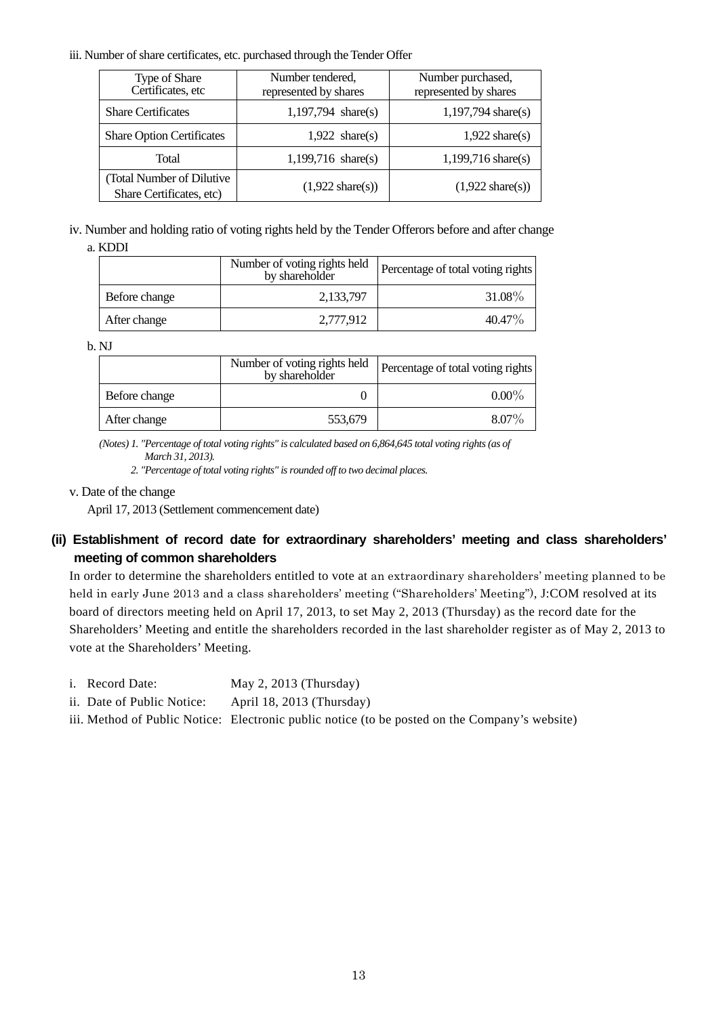#### iii. Number of share certificates, etc. purchased through the Tender Offer

| Type of Share<br>Certificates, etc                     | Number tendered,<br>represented by shares | Number purchased,<br>represented by shares |
|--------------------------------------------------------|-------------------------------------------|--------------------------------------------|
| <b>Share Certificates</b>                              | $1,197,794$ share(s)                      | $1,197,794$ share(s)                       |
| <b>Share Option Certificates</b>                       | $1,922 \text{ share}(s)$                  | $1,922 \text{ share}(s)$                   |
| Total                                                  | $1,199,716 \text{ share}(s)$              | $1,199,716 \text{ share}(s)$               |
| (Total Number of Dilutive)<br>Share Certificates, etc) | $(1,922 \text{ share}(s))$                | $(1,922 \text{ share}(s))$                 |

iv. Number and holding ratio of voting rights held by the Tender Offerors before and after change a. KDDI

|               | Number of voting rights held<br>by shareholder | Percentage of total voting rights |
|---------------|------------------------------------------------|-----------------------------------|
| Before change | 2,133,797                                      | 31.08%                            |
| After change  | 2,777,912                                      | 40.47%                            |

b. NJ

|               | Number of voting rights held<br>by shareholder | Percentage of total voting rights |
|---------------|------------------------------------------------|-----------------------------------|
| Before change |                                                | $0.00\%$                          |
| After change  | 553,679                                        | $8.07\%$                          |

*(Notes) 1. "Percentage of total voting rights" is calculated based on 6,864,645 total voting rights (as of March 31, 2013).* 

*2. "Percentage of total voting rights" is rounded off to two decimal places.* 

#### v. Date of the change

April 17, 2013 (Settlement commencement date)

# **(ii) Establishment of record date for extraordinary shareholders' meeting and class shareholders' meeting of common shareholders**

In order to determine the shareholders entitled to vote at an extraordinary shareholders' meeting planned to be held in early June 2013 and a class shareholders' meeting ("Shareholders' Meeting"), J:COM resolved at its board of directors meeting held on April 17, 2013, to set May 2, 2013 (Thursday) as the record date for the Shareholders' Meeting and entitle the shareholders recorded in the last shareholder register as of May 2, 2013 to vote at the Shareholders' Meeting.

- i. Record Date: May 2, 2013 (Thursday)
- ii. Date of Public Notice: April 18, 2013 (Thursday)

iii. Method of Public Notice: Electronic public notice (to be posted on the Company's website)